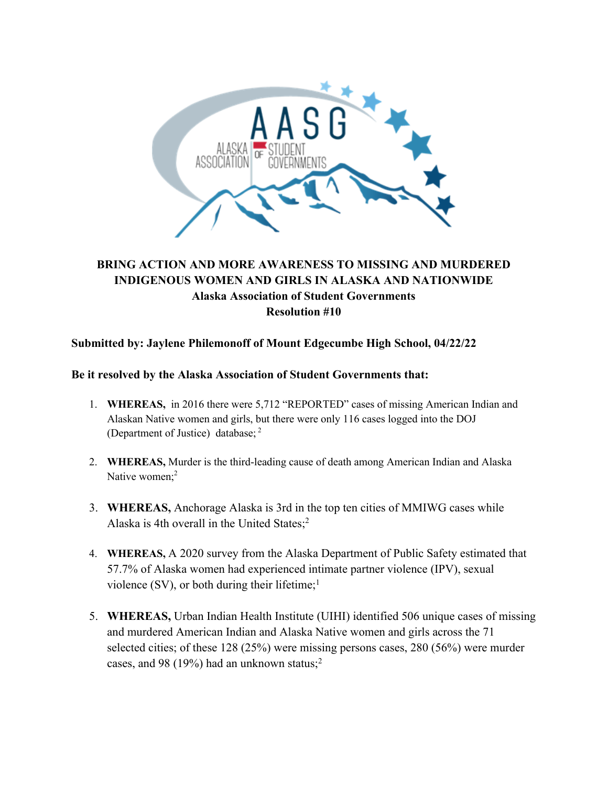

## **BRING ACTION AND MORE AWARENESS TO MISSING AND MURDERED INDIGENOUS WOMEN AND GIRLS IN ALASKA AND NATIONWIDE Alaska Association of Student Governments Resolution #10**

## **Submitted by: Jaylene Philemonoff of Mount Edgecumbe High School, 04/22/22**

## **Be it resolved by the Alaska Association of Student Governments that:**

- 1. **WHEREAS,** in 2016 there were 5,712 "REPORTED" cases of missing American Indian and Alaskan Native women and girls, but there were only 116 cases logged into the DOJ (Department of Justice) database; <sup>2</sup>
- 2. **WHEREAS,** Murder is the third-leading cause of death among American Indian and Alaska Native women:<sup>2</sup>
- 3. **WHEREAS,** Anchorage Alaska is 3rd in the top ten cities of MMIWG cases while Alaska is 4th overall in the United States;2
- 4. **WHEREAS,** A 2020 survey from the Alaska Department of Public Safety estimated that 57.7% of Alaska women had experienced intimate partner violence (IPV), sexual violence  $(SV)$ , or both during their lifetime;<sup>1</sup>
- 5. **WHEREAS,** Urban Indian Health Institute (UIHI) identified 506 unique cases of missing and murdered American Indian and Alaska Native women and girls across the 71 selected cities; of these 128 (25%) were missing persons cases, 280 (56%) were murder cases, and 98 (19%) had an unknown status;<sup>2</sup>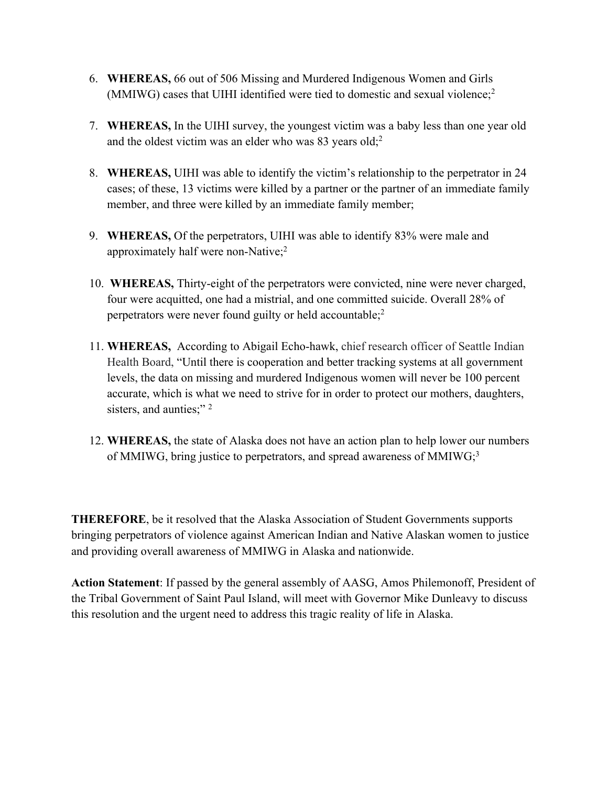- 6. **WHEREAS,** 66 out of 506 Missing and Murdered Indigenous Women and Girls (MMIWG) cases that UIHI identified were tied to domestic and sexual violence;2
- 7. **WHEREAS,** In the UIHI survey, the youngest victim was a baby less than one year old and the oldest victim was an elder who was 83 years old;<sup>2</sup>
- 8. **WHEREAS,** UIHI was able to identify the victim's relationship to the perpetrator in 24 cases; of these, 13 victims were killed by a partner or the partner of an immediate family member, and three were killed by an immediate family member;
- 9. **WHEREAS,** Of the perpetrators, UIHI was able to identify 83% were male and approximately half were non-Native;<sup>2</sup>
- 10. **WHEREAS,** Thirty-eight of the perpetrators were convicted, nine were never charged, four were acquitted, one had a mistrial, and one committed suicide. Overall 28% of perpetrators were never found guilty or held accountable;<sup>2</sup>
- 11. **WHEREAS,** According to Abigail Echo-hawk, chief research officer of Seattle Indian Health Board, "Until there is cooperation and better tracking systems at all government levels, the data on missing and murdered Indigenous women will never be 100 percent accurate, which is what we need to strive for in order to protect our mothers, daughters, sisters, and aunties;"<sup>2</sup>
- 12. **WHEREAS,** the state of Alaska does not have an action plan to help lower our numbers of MMIWG, bring justice to perpetrators, and spread awareness of MMIWG;<sup>3</sup>

**THEREFORE**, be it resolved that the Alaska Association of Student Governments supports bringing perpetrators of violence against American Indian and Native Alaskan women to justice and providing overall awareness of MMIWG in Alaska and nationwide.

**Action Statement**: If passed by the general assembly of AASG, Amos Philemonoff, President of the Tribal Government of Saint Paul Island, will meet with Governor Mike Dunleavy to discuss this resolution and the urgent need to address this tragic reality of life in Alaska.